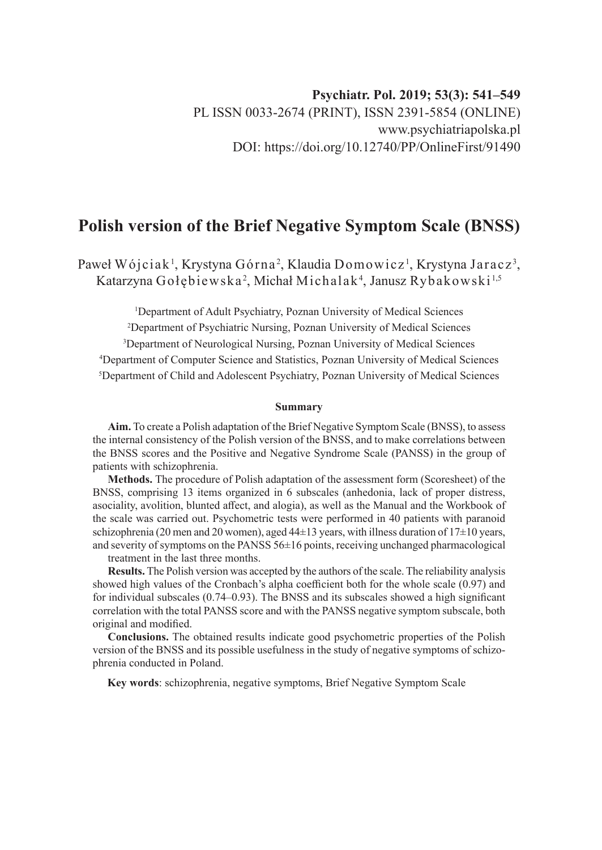# **Polish version of the Brief Negative Symptom Scale (BNSS)**

Paweł Wójciak<sup>1</sup>, Krystyna Górna<sup>2</sup>, Klaudia Domowicz<sup>1</sup>, Krystyna Jaracz<sup>3</sup>, Katarzyna Gołębiewska<sup>2</sup>, Michał Michalak<sup>4</sup>, Janusz Rybakowski<sup>1,5</sup>

 Department of Adult Psychiatry, Poznan University of Medical Sciences Department of Psychiatric Nursing, Poznan University of Medical Sciences Department of Neurological Nursing, Poznan University of Medical Sciences Department of Computer Science and Statistics, Poznan University of Medical Sciences Department of Child and Adolescent Psychiatry, Poznan University of Medical Sciences

#### **Summary**

**Aim.** To create a Polish adaptation of the Brief Negative Symptom Scale (BNSS), to assess the internal consistency of the Polish version of the BNSS, and to make correlations between the BNSS scores and the Positive and Negative Syndrome Scale (PANSS) in the group of patients with schizophrenia.

**Methods.** The procedure of Polish adaptation of the assessment form (Scoresheet) of the BNSS, comprising 13 items organized in 6 subscales (anhedonia, lack of proper distress, asociality, avolition, blunted affect, and alogia), as well as the Manual and the Workbook of the scale was carried out. Psychometric tests were performed in 40 patients with paranoid schizophrenia (20 men and 20 women), aged  $44\pm 13$  years, with illness duration of  $17\pm 10$  years, and severity of symptoms on the PANSS 56±16 points, receiving unchanged pharmacological treatment in the last three months.

**Results.** The Polish version was accepted by the authors of the scale. The reliability analysis showed high values of the Cronbach's alpha coefficient both for the whole scale (0.97) and for individual subscales (0.74–0.93). The BNSS and its subscales showed a high significant correlation with the total PANSS score and with the PANSS negative symptom subscale, both original and modified.

**Conclusions.** The obtained results indicate good psychometric properties of the Polish version of the BNSS and its possible usefulness in the study of negative symptoms of schizophrenia conducted in Poland.

**Key words**: schizophrenia, negative symptoms, Brief Negative Symptom Scale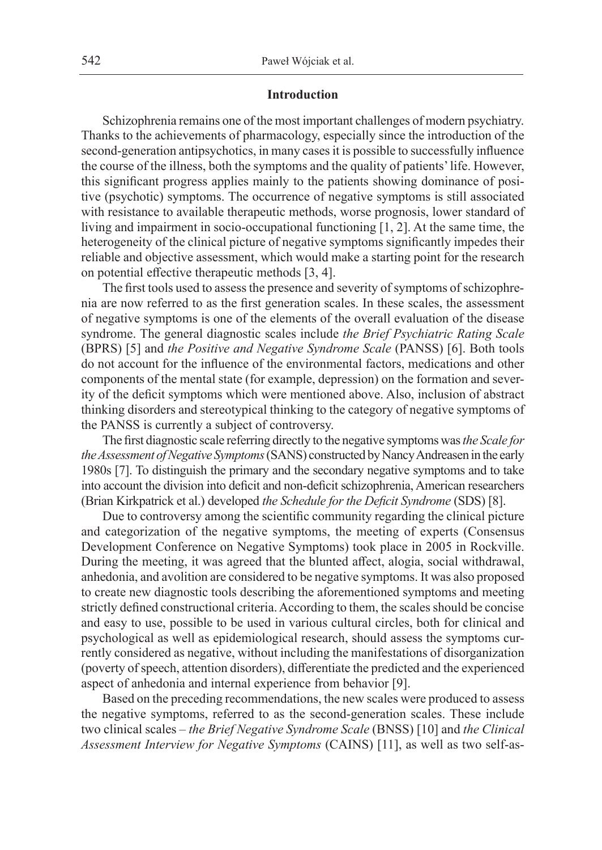## **Introduction**

Schizophrenia remains one of the most important challenges of modern psychiatry. Thanks to the achievements of pharmacology, especially since the introduction of the second-generation antipsychotics, in many cases it is possible to successfully influence the course of the illness, both the symptoms and the quality of patients' life. However, this significant progress applies mainly to the patients showing dominance of positive (psychotic) symptoms. The occurrence of negative symptoms is still associated with resistance to available therapeutic methods, worse prognosis, lower standard of living and impairment in socio-occupational functioning [1, 2]. At the same time, the heterogeneity of the clinical picture of negative symptoms significantly impedes their reliable and objective assessment, which would make a starting point for the research on potential effective therapeutic methods [3, 4].

The first tools used to assess the presence and severity of symptoms of schizophrenia are now referred to as the first generation scales. In these scales, the assessment of negative symptoms is one of the elements of the overall evaluation of the disease syndrome. The general diagnostic scales include *the Brief Psychiatric Rating Scale* (BPRS) [5] and *the Positive and Negative Syndrome Scale* (PANSS) [6]. Both tools do not account for the influence of the environmental factors, medications and other components of the mental state (for example, depression) on the formation and severity of the deficit symptoms which were mentioned above. Also, inclusion of abstract thinking disorders and stereotypical thinking to the category of negative symptoms of the PANSS is currently a subject of controversy.

The first diagnostic scale referring directly to the negative symptoms was *the Scale for the Assessment of Negative Symptoms* (SANS) constructed by Nancy Andreasen in the early 1980s [7]. To distinguish the primary and the secondary negative symptoms and to take into account the division into deficit and non-deficit schizophrenia, American researchers (Brian Kirkpatrick et al.) developed *the Schedule for the Deficit Syndrome* (SDS) [8].

Due to controversy among the scientific community regarding the clinical picture and categorization of the negative symptoms, the meeting of experts (Consensus Development Conference on Negative Symptoms) took place in 2005 in Rockville. During the meeting, it was agreed that the blunted affect, alogia, social withdrawal, anhedonia, and avolition are considered to be negative symptoms. It was also proposed to create new diagnostic tools describing the aforementioned symptoms and meeting strictly defined constructional criteria. According to them, the scales should be concise and easy to use, possible to be used in various cultural circles, both for clinical and psychological as well as epidemiological research, should assess the symptoms currently considered as negative, without including the manifestations of disorganization (poverty of speech, attention disorders), differentiate the predicted and the experienced aspect of anhedonia and internal experience from behavior [9].

Based on the preceding recommendations, the new scales were produced to assess the negative symptoms, referred to as the second-generation scales. These include two clinical scales – *the Brief Negative Syndrome Scale* (BNSS) [10] and *the Clinical Assessment Interview for Negative Symptoms* (CAINS) [11], as well as two self-as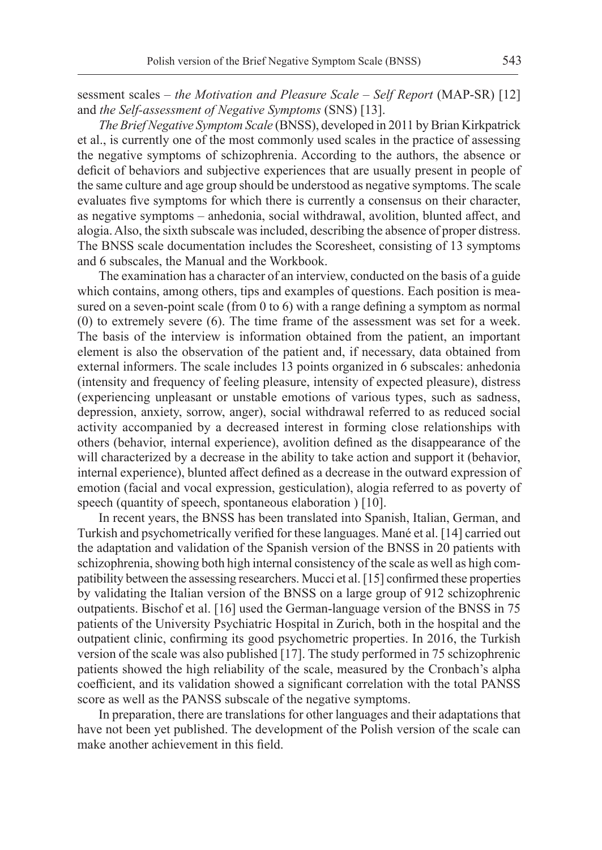sessment scales – *the Motivation and Pleasure Scale – Self Report* (MAP-SR) [12] and *the Self-assessment of Negative Symptoms* (SNS) [13].

*The Brief Negative Symptom Scale* (BNSS), developed in 2011 by Brian Kirkpatrick et al., is currently one of the most commonly used scales in the practice of assessing the negative symptoms of schizophrenia. According to the authors, the absence or deficit of behaviors and subjective experiences that are usually present in people of the same culture and age group should be understood as negative symptoms. The scale evaluates five symptoms for which there is currently a consensus on their character, as negative symptoms – anhedonia, social withdrawal, avolition, blunted affect, and alogia. Also, the sixth subscale was included, describing the absence of proper distress. The BNSS scale documentation includes the Scoresheet, consisting of 13 symptoms and 6 subscales, the Manual and the Workbook.

The examination has a character of an interview, conducted on the basis of a guide which contains, among others, tips and examples of questions. Each position is measured on a seven-point scale (from 0 to 6) with a range defining a symptom as normal (0) to extremely severe (6). The time frame of the assessment was set for a week. The basis of the interview is information obtained from the patient, an important element is also the observation of the patient and, if necessary, data obtained from external informers. The scale includes 13 points organized in 6 subscales: anhedonia (intensity and frequency of feeling pleasure, intensity of expected pleasure), distress (experiencing unpleasant or unstable emotions of various types, such as sadness, depression, anxiety, sorrow, anger), social withdrawal referred to as reduced social activity accompanied by a decreased interest in forming close relationships with others (behavior, internal experience), avolition defined as the disappearance of the will characterized by a decrease in the ability to take action and support it (behavior, internal experience), blunted affect defined as a decrease in the outward expression of emotion (facial and vocal expression, gesticulation), alogia referred to as poverty of speech (quantity of speech, spontaneous elaboration ) [10].

In recent years, the BNSS has been translated into Spanish, Italian, German, and Turkish and psychometrically verified for these languages. Mané et al. [14] carried out the adaptation and validation of the Spanish version of the BNSS in 20 patients with schizophrenia, showing both high internal consistency of the scale as well as high compatibility between the assessing researchers. Mucci et al. [15] confirmed these properties by validating the Italian version of the BNSS on a large group of 912 schizophrenic outpatients. Bischof et al. [16] used the German-language version of the BNSS in 75 patients of the University Psychiatric Hospital in Zurich, both in the hospital and the outpatient clinic, confirming its good psychometric properties. In 2016, the Turkish version of the scale was also published [17]. The study performed in 75 schizophrenic patients showed the high reliability of the scale, measured by the Cronbach's alpha coefficient, and its validation showed a significant correlation with the total PANSS score as well as the PANSS subscale of the negative symptoms.

In preparation, there are translations for other languages and their adaptations that have not been yet published. The development of the Polish version of the scale can make another achievement in this field.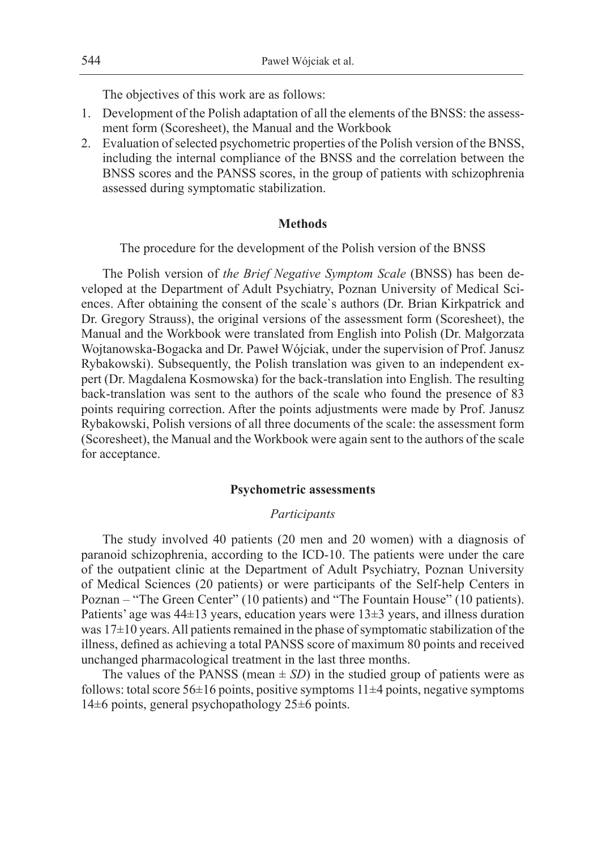The objectives of this work are as follows:

- 1. Development of the Polish adaptation of all the elements of the BNSS: the assessment form (Scoresheet), the Manual and the Workbook
- 2. Evaluation of selected psychometric properties of the Polish version of the BNSS, including the internal compliance of the BNSS and the correlation between the BNSS scores and the PANSS scores, in the group of patients with schizophrenia assessed during symptomatic stabilization.

## **Methods**

The procedure for the development of the Polish version of the BNSS

The Polish version of *the Brief Negative Symptom Scale* (BNSS) has been developed at the Department of Adult Psychiatry, Poznan University of Medical Sciences. After obtaining the consent of the scale`s authors (Dr. Brian Kirkpatrick and Dr. Gregory Strauss), the original versions of the assessment form (Scoresheet), the Manual and the Workbook were translated from English into Polish (Dr. Małgorzata Wojtanowska-Bogacka and Dr. Paweł Wójciak, under the supervision of Prof. Janusz Rybakowski). Subsequently, the Polish translation was given to an independent expert (Dr. Magdalena Kosmowska) for the back-translation into English. The resulting back-translation was sent to the authors of the scale who found the presence of 83 points requiring correction. After the points adjustments were made by Prof. Janusz Rybakowski, Polish versions of all three documents of the scale: the assessment form (Scoresheet), the Manual and the Workbook were again sent to the authors of the scale for acceptance.

#### **Psychometric assessments**

#### *Participants*

The study involved 40 patients (20 men and 20 women) with a diagnosis of paranoid schizophrenia, according to the ICD-10. The patients were under the care of the outpatient clinic at the Department of Adult Psychiatry, Poznan University of Medical Sciences (20 patients) or were participants of the Self-help Centers in Poznan – "The Green Center" (10 patients) and "The Fountain House" (10 patients). Patients' age was 44±13 years, education years were 13±3 years, and illness duration was 17±10 years. All patients remained in the phase of symptomatic stabilization of the illness, defined as achieving a total PANSS score of maximum 80 points and received unchanged pharmacological treatment in the last three months.

The values of the PANSS (mean  $\pm$  *SD*) in the studied group of patients were as follows: total score  $56\pm16$  points, positive symptoms  $11\pm4$  points, negative symptoms 14±6 points, general psychopathology 25±6 points.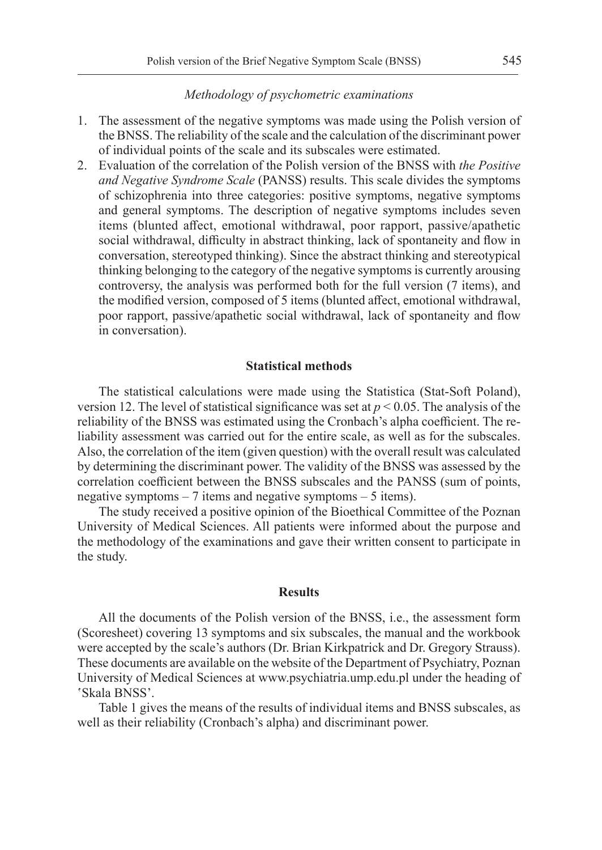## *Methodology of psychometric examinations*

- 1. The assessment of the negative symptoms was made using the Polish version of the BNSS. The reliability of the scale and the calculation of the discriminant power of individual points of the scale and its subscales were estimated.
- 2. Evaluation of the correlation of the Polish version of the BNSS with *the Positive and Negative Syndrome Scale* (PANSS) results. This scale divides the symptoms of schizophrenia into three categories: positive symptoms, negative symptoms and general symptoms. The description of negative symptoms includes seven items (blunted affect, emotional withdrawal, poor rapport, passive/apathetic social withdrawal, difficulty in abstract thinking, lack of spontaneity and flow in conversation, stereotyped thinking). Since the abstract thinking and stereotypical thinking belonging to the category of the negative symptoms is currently arousing controversy, the analysis was performed both for the full version (7 items), and the modified version, composed of 5 items (blunted affect, emotional withdrawal, poor rapport, passive/apathetic social withdrawal, lack of spontaneity and flow in conversation).

#### **Statistical methods**

The statistical calculations were made using the Statistica (Stat-Soft Poland), version 12. The level of statistical significance was set at  $p < 0.05$ . The analysis of the reliability of the BNSS was estimated using the Cronbach's alpha coefficient. The reliability assessment was carried out for the entire scale, as well as for the subscales. Also, the correlation of the item (given question) with the overall result was calculated by determining the discriminant power. The validity of the BNSS was assessed by the correlation coefficient between the BNSS subscales and the PANSS (sum of points, negative symptoms – 7 items and negative symptoms – 5 items).

The study received a positive opinion of the Bioethical Committee of the Poznan University of Medical Sciences. All patients were informed about the purpose and the methodology of the examinations and gave their written consent to participate in the study.

#### **Results**

All the documents of the Polish version of the BNSS, i.e., the assessment form (Scoresheet) covering 13 symptoms and six subscales, the manual and the workbook were accepted by the scale's authors (Dr. Brian Kirkpatrick and Dr. Gregory Strauss). These documents are available on the website of the Department of Psychiatry, Poznan University of Medical Sciences at www.psychiatria.ump.edu.pl under the heading of 'Skala BNSS'.

Table 1 gives the means of the results of individual items and BNSS subscales, as well as their reliability (Cronbach's alpha) and discriminant power.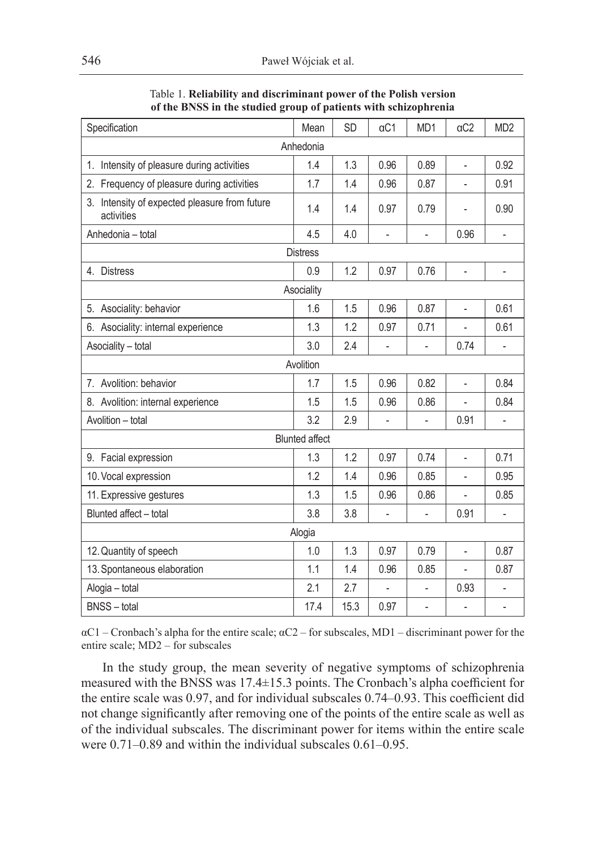| Specification                                               | Mean | SD   | $\alpha$ C1              | MD1            | $\alpha$ C2    | MD <sub>2</sub>          |  |  |
|-------------------------------------------------------------|------|------|--------------------------|----------------|----------------|--------------------------|--|--|
| Anhedonia                                                   |      |      |                          |                |                |                          |  |  |
| Intensity of pleasure during activities<br>1.               | 1.4  | 1.3  | 0.96                     | 0.89           | $\overline{a}$ | 0.92                     |  |  |
| 2. Frequency of pleasure during activities                  | 1.7  | 1.4  | 0.96                     | 0.87           |                | 0.91                     |  |  |
| 3. Intensity of expected pleasure from future<br>activities | 1.4  | 1.4  | 0.97                     | 0.79           |                | 0.90                     |  |  |
| Anhedonia - total                                           | 4.5  | 4.0  | $\overline{\phantom{0}}$ | $\frac{1}{2}$  | 0.96           | $\overline{\phantom{0}}$ |  |  |
| <b>Distress</b>                                             |      |      |                          |                |                |                          |  |  |
| 4. Distress                                                 | 0.9  | 1.2  | 0.97                     | 0.76           |                | $\overline{a}$           |  |  |
| Asociality                                                  |      |      |                          |                |                |                          |  |  |
| 5. Asociality: behavior                                     | 1.6  | 1.5  | 0.96                     | 0.87           | $\overline{a}$ | 0.61                     |  |  |
| 6. Asociality: internal experience                          | 1.3  | 1.2  | 0.97                     | 0.71           | $\overline{a}$ | 0.61                     |  |  |
| Asociality - total                                          | 3.0  | 2.4  | $\overline{a}$           | $\overline{a}$ | 0.74           | $\overline{a}$           |  |  |
| Avolition                                                   |      |      |                          |                |                |                          |  |  |
| 7. Avolition: behavior                                      | 1.7  | 1.5  | 0.96                     | 0.82           | $\overline{a}$ | 0.84                     |  |  |
| 8. Avolition: internal experience                           | 1.5  | 1.5  | 0.96                     | 0.86           | ÷,             | 0.84                     |  |  |
| Avolition - total                                           | 3.2  | 2.9  | $\overline{a}$           | $\frac{1}{2}$  | 0.91           | $\overline{a}$           |  |  |
| <b>Blunted affect</b>                                       |      |      |                          |                |                |                          |  |  |
| 9. Facial expression                                        | 1.3  | 1.2  | 0.97                     | 0.74           | $\overline{a}$ | 0.71                     |  |  |
| 10. Vocal expression                                        | 1.2  | 1.4  | 0.96                     | 0.85           | ÷,             | 0.95                     |  |  |
| 11. Expressive gestures                                     | 1.3  | 1.5  | 0.96                     | 0.86           |                | 0.85                     |  |  |
| Blunted affect - total                                      | 3.8  | 3.8  | $\overline{a}$           | $\overline{a}$ | 0.91           |                          |  |  |
| Alogia                                                      |      |      |                          |                |                |                          |  |  |
| 12. Quantity of speech                                      | 1.0  | 1.3  | 0.97                     | 0.79           | $\overline{a}$ | 0.87                     |  |  |
| 13. Spontaneous elaboration                                 |      | 1.4  | 0.96                     | 0.85           |                | 0.87                     |  |  |
| Alogia - total                                              | 2.1  | 2.7  |                          |                | 0.93           |                          |  |  |
| <b>BNSS</b> - total                                         | 17.4 | 15.3 | 0.97                     |                |                |                          |  |  |

Table 1. **Reliability and discriminant power of the Polish version of the BNSS in the studied group of patients with schizophrenia**

 $\alpha$ C1 – Cronbach's alpha for the entire scale;  $\alpha$ C2 – for subscales, MD1 – discriminant power for the entire scale; MD2 – for subscales

In the study group, the mean severity of negative symptoms of schizophrenia measured with the BNSS was 17.4±15.3 points. The Cronbach's alpha coefficient for the entire scale was 0.97, and for individual subscales 0.74–0.93. This coefficient did not change significantly after removing one of the points of the entire scale as well as of the individual subscales. The discriminant power for items within the entire scale were 0.71–0.89 and within the individual subscales 0.61–0.95.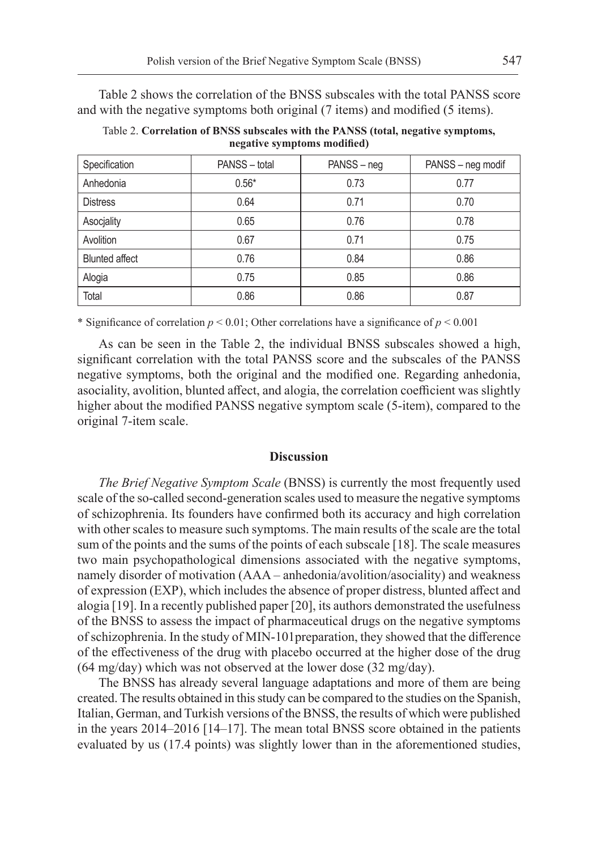Table 2 shows the correlation of the BNSS subscales with the total PANSS score and with the negative symptoms both original (7 items) and modified (5 items).

Table 2. **Correlation of BNSS subscales with the PANSS (total, negative symptoms, negative symptoms modified)**

| Specification         | PANSS - total | PANSS - neg | PANSS - neg modif |
|-----------------------|---------------|-------------|-------------------|
| Anhedonia             | $0.56*$       | 0.73        | 0.77              |
| <b>Distress</b>       | 0.64          | 0.71        | 0.70              |
| Asocjality            | 0.65          | 0.76        | 0.78              |
| Avolition             | 0.67          | 0.71        | 0.75              |
| <b>Blunted affect</b> | 0.76          | 0.84        | 0.86              |
| Alogia                | 0.75          | 0.85        | 0.86              |
| Total                 | 0.86          | 0.86        | 0.87              |

\* Significance of correlation  $p < 0.01$ ; Other correlations have a significance of  $p < 0.001$ 

As can be seen in the Table 2, the individual BNSS subscales showed a high, significant correlation with the total PANSS score and the subscales of the PANSS negative symptoms, both the original and the modified one. Regarding anhedonia, asociality, avolition, blunted affect, and alogia, the correlation coefficient was slightly higher about the modified PANSS negative symptom scale (5-item), compared to the original 7-item scale.

## **Discussion**

*The Brief Negative Symptom Scale* (BNSS) is currently the most frequently used scale of the so-called second-generation scales used to measure the negative symptoms of schizophrenia. Its founders have confirmed both its accuracy and high correlation with other scales to measure such symptoms. The main results of the scale are the total sum of the points and the sums of the points of each subscale [18]. The scale measures two main psychopathological dimensions associated with the negative symptoms, namely disorder of motivation (AAA – anhedonia/avolition/asociality) and weakness of expression (EXP), which includes the absence of proper distress, blunted affect and alogia [19]. In a recently published paper [20], its authors demonstrated the usefulness of the BNSS to assess the impact of pharmaceutical drugs on the negative symptoms of schizophrenia. In the study of MIN-101preparation, they showed that the difference of the effectiveness of the drug with placebo occurred at the higher dose of the drug (64 mg/day) which was not observed at the lower dose (32 mg/day).

The BNSS has already several language adaptations and more of them are being created. The results obtained in this study can be compared to the studies on the Spanish, Italian, German, and Turkish versions of the BNSS, the results of which were published in the years 2014–2016 [14–17]. The mean total BNSS score obtained in the patients evaluated by us (17.4 points) was slightly lower than in the aforementioned studies,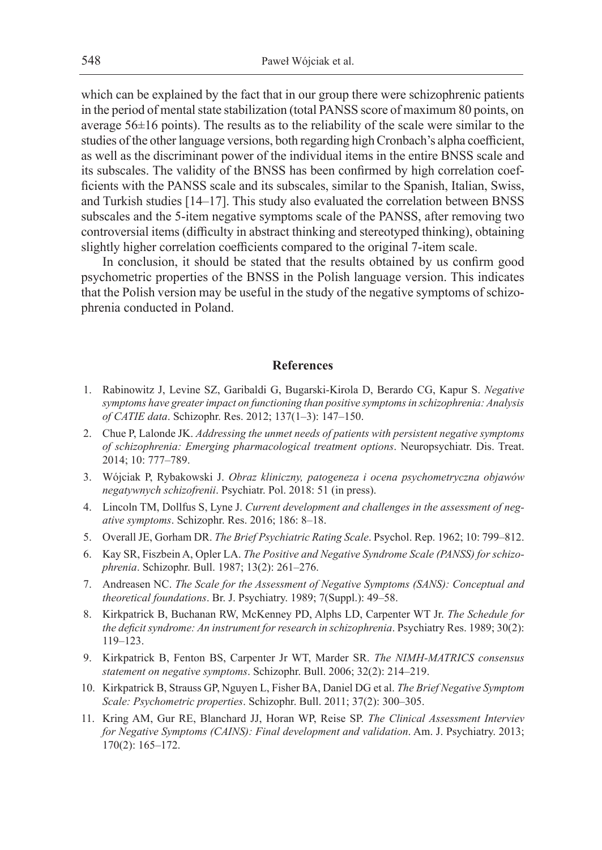which can be explained by the fact that in our group there were schizophrenic patients in the period of mental state stabilization (total PANSS score of maximum 80 points, on average 56±16 points). The results as to the reliability of the scale were similar to the studies of the other language versions, both regarding high Cronbach's alpha coefficient, as well as the discriminant power of the individual items in the entire BNSS scale and its subscales. The validity of the BNSS has been confirmed by high correlation coefficients with the PANSS scale and its subscales, similar to the Spanish, Italian, Swiss, and Turkish studies [14–17]. This study also evaluated the correlation between BNSS subscales and the 5-item negative symptoms scale of the PANSS, after removing two controversial items (difficulty in abstract thinking and stereotyped thinking), obtaining slightly higher correlation coefficients compared to the original 7-item scale.

In conclusion, it should be stated that the results obtained by us confirm good psychometric properties of the BNSS in the Polish language version. This indicates that the Polish version may be useful in the study of the negative symptoms of schizophrenia conducted in Poland.

## **References**

- 1. Rabinowitz J, Levine SZ, Garibaldi G, Bugarski-Kirola D, Berardo CG, Kapur S. *Negative symptoms have greater impact on functioning than positive symptoms in schizophrenia: Analysis of CATIE data*. Schizophr. Res. 2012; 137(1–3): 147–150.
- 2. Chue P, Lalonde JK. *Addressing the unmet needs of patients with persistent negative symptoms of schizophrenia: Emerging pharmacological treatment options*. Neuropsychiatr. Dis. Treat. 2014; 10: 777–789.
- 3. Wójciak P, Rybakowski J. *Obraz kliniczny, patogeneza i ocena psychometryczna objawów negatywnych schizofrenii*. Psychiatr. Pol. 2018: 51 (in press).
- 4. Lincoln TM, Dollfus S, Lyne J. *Current development and challenges in the assessment of negative symptoms*. Schizophr. Res. 2016; 186: 8–18.
- 5. Overall JE, Gorham DR. *The Brief Psychiatric Rating Scale*. Psychol. Rep. 1962; 10: 799–812.
- 6. Kay SR, Fiszbein A, Opler LA. *The Positive and Negative Syndrome Scale (PANSS) for schizophrenia*. Schizophr. Bull. 1987; 13(2): 261–276.
- 7. Andreasen NC. *The Scale for the Assessment of Negative Symptoms (SANS): Conceptual and theoretical foundations*. Br. J. Psychiatry. 1989; 7(Suppl.): 49–58.
- 8. Kirkpatrick B, Buchanan RW, McKenney PD, Alphs LD, Carpenter WT Jr. *The Schedule for the deficit syndrome: An instrument for research in schizophrenia*. Psychiatry Res. 1989; 30(2): 119–123.
- 9. Kirkpatrick B, Fenton BS, Carpenter Jr WT, Marder SR. *The NIMH-MATRICS consensus statement on negative symptoms*. Schizophr. Bull. 2006; 32(2): 214–219.
- 10. Kirkpatrick B, Strauss GP, Nguyen L, Fisher BA, Daniel DG et al. *The Brief Negative Symptom Scale: Psychometric properties*. Schizophr. Bull. 2011; 37(2): 300–305.
- 11. Kring AM, Gur RE, Blanchard JJ, Horan WP, Reise SP. *The Clinical Assessment Interviev for Negative Symptoms (CAINS): Final development and validation*. Am. J. Psychiatry. 2013; 170(2): 165–172.